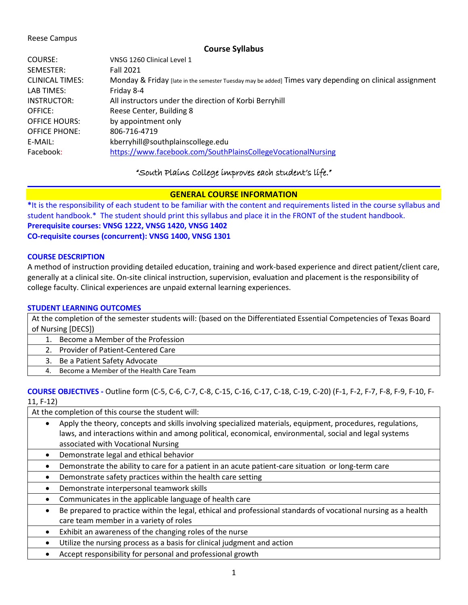## Reese Campus

# **Course Syllabus**

| COURSE:                | VNSG 1260 Clinical Level 1                                                                              |
|------------------------|---------------------------------------------------------------------------------------------------------|
| SEMESTER:              | <b>Fall 2021</b>                                                                                        |
| <b>CLINICAL TIMES:</b> | Monday & Friday [late in the semester Tuesday may be added] Times vary depending on clinical assignment |
| LAB TIMES:             | Friday 8-4                                                                                              |
| INSTRUCTOR:            | All instructors under the direction of Korbi Berryhill                                                  |
| OFFICE:                | Reese Center, Building 8                                                                                |
| <b>OFFICE HOURS:</b>   | by appointment only                                                                                     |
| <b>OFFICE PHONE:</b>   | 806-716-4719                                                                                            |
| E-MAIL:                | kberryhill@southplainscollege.edu                                                                       |
| Facebook:              | https://www.facebook.com/SouthPlainsCollegeVocationalNursing                                            |
|                        |                                                                                                         |

# "South Plains College improves each student's life."

# **GENERAL COURSE INFORMATION**

**\***It is the responsibility of each student to be familiar with the content and requirements listed in the course syllabus and student handbook.\* The student should print this syllabus and place it in the FRONT of the student handbook. **Prerequisite courses: VNSG 1222, VNSG 1420, VNSG 1402 CO-requisite courses (concurrent): VNSG 1400, VNSG 1301**

# **COURSE DESCRIPTION**

A method of instruction providing detailed education, training and work-based experience and direct patient/client care, generally at a clinical site. On-site clinical instruction, supervision, evaluation and placement is the responsibility of college faculty. Clinical experiences are unpaid external learning experiences.

# **STUDENT LEARNING OUTCOMES**

At the completion of the semester students will: (based on the Differentiated Essential Competencies of Texas Board of Nursing [DECS])

- 1. Become a Member of the Profession
- 2. Provider of Patient-Centered Care
- 3. Be a Patient Safety Advocate
- 4. Become a Member of the Health Care Team

# **COURSE OBJECTIVES -** Outline form (C-5, C-6, C-7, C-8, C-15, C-16, C-17, C-18, C-19, C-20) (F-1, F-2, F-7, F-8, F-9, F-10, F-11, F-12)

At the completion of this course the student will:

- Apply the theory, concepts and skills involving specialized materials, equipment, procedures, regulations, laws, and interactions within and among political, economical, environmental, social and legal systems associated with Vocational Nursing
- Demonstrate legal and ethical behavior
- Demonstrate the ability to care for a patient in an acute patient-care situation or long-term care
- Demonstrate safety practices within the health care setting
- Demonstrate interpersonal teamwork skills
- Communicates in the applicable language of health care
- Be prepared to practice within the legal, ethical and professional standards of vocational nursing as a health care team member in a variety of roles
- Exhibit an awareness of the changing roles of the nurse
- Utilize the nursing process as a basis for clinical judgment and action
- Accept responsibility for personal and professional growth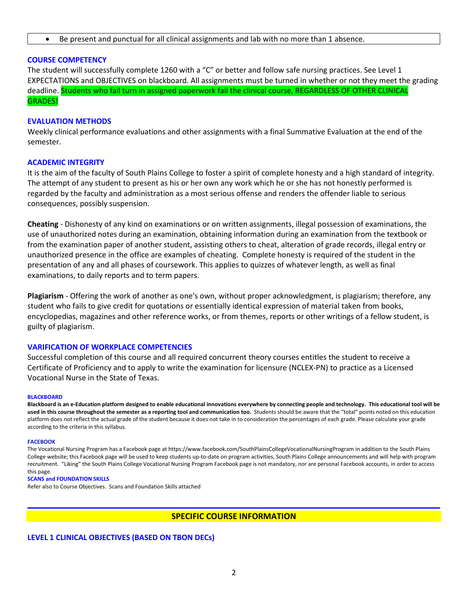• Be present and punctual for all clinical assignments and lab with no more than 1 absence.

# **COURSE COMPETENCY**

The student will successfully complete 1260 with a "C" or better and follow safe nursing practices. See Level 1 EXPECTATIONS and OBJECTIVES on blackboard. All assignments must be turned in whether or not they meet the grading deadline. Students who fail turn in assigned paperwork fail the clinical course, REGARDLESS OF OTHER CLINICAL GRADES!

## **EVALUATION METHODS**

Weekly clinical performance evaluations and other assignments with a final Summative Evaluation at the end of the semester.

## **ACADEMIC INTEGRITY**

It is the aim of the faculty of South Plains College to foster a spirit of complete honesty and a high standard of integrity. The attempt of any student to present as his or her own any work which he or she has not honestly performed is regarded by the faculty and administration as a most serious offense and renders the offender liable to serious consequences, possibly suspension.

**Cheating** - Dishonesty of any kind on examinations or on written assignments, illegal possession of examinations, the use of unauthorized notes during an examination, obtaining information during an examination from the textbook or from the examination paper of another student, assisting others to cheat, alteration of grade records, illegal entry or unauthorized presence in the office are examples of cheating. Complete honesty is required of the student in the presentation of any and all phases of coursework. This applies to quizzes of whatever length, as well as final examinations, to daily reports and to term papers.

**Plagiarism** - Offering the work of another as one's own, without proper acknowledgment, is plagiarism; therefore, any student who fails to give credit for quotations or essentially identical expression of material taken from books, encyclopedias, magazines and other reference works, or from themes, reports or other writings of a fellow student, is guilty of plagiarism.

## **VARIFICATION OF WORKPLACE COMPETENCIES**

Successful completion of this course and all required concurrent theory courses entitles the student to receive a Certificate of Proficiency and to apply to write the examination for licensure (NCLEX-PN) to practice as a Licensed Vocational Nurse in the State of Texas.

#### **BLACKBOARD**

**Blackboard is an e-Education platform designed to enable educational innovations everywhere by connecting people and technology. This educational tool will be used in this course throughout the semester as a reporting tool and communication too.** Students should be aware that the "total" points noted on this education platform does not reflect the actual grade of the student because it does not take in to consideration the percentages of each grade. Please calculate your grade according to the criteria in this syllabus.

#### **FACEBOOK**

The Vocational Nursing Program has a Facebook page at https://www.facebook.com/SouthPlainsCollegeVocationalNursingProgram in addition to the South Plains College website; this Facebook page will be used to keep students up-to-date on program activities, South Plains College announcements and will help with program recruitment. "Liking" the South Plains College Vocational Nursing Program Facebook page is not mandatory, nor are personal Facebook accounts, in order to access this page.

#### **SCANS and FOUNDATION SKILLS**

Refer also to Course Objectives. Scans and Foundation Skills attached

# **SPECIFIC COURSE INFORMATION**

### **LEVEL 1 CLINICAL OBJECTIVES (BASED ON TBON DECs)**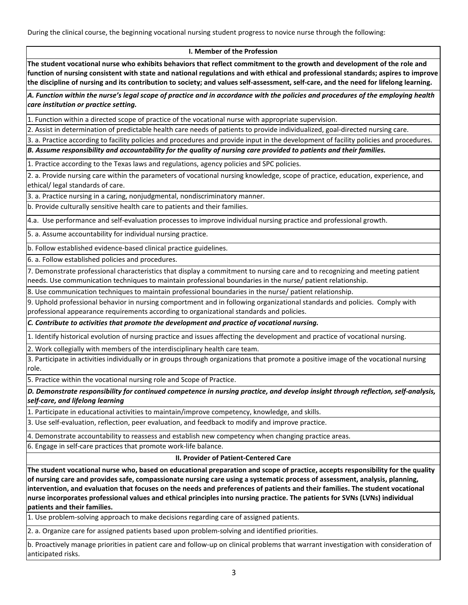During the clinical course, the beginning vocational nursing student progress to novice nurse through the following:

### **I. Member of the Profession**

**The student vocational nurse who exhibits behaviors that reflect commitment to the growth and development of the role and function of nursing consistent with state and national regulations and with ethical and professional standards; aspires to improve the discipline of nursing and its contribution to society; and values self-assessment, self-care, and the need for lifelong learning.**

*A. Function within the nurse's legal scope of practice and in accordance with the policies and procedures of the employing health care institution or practice setting.*

1. Function within a directed scope of practice of the vocational nurse with appropriate supervision.

2. Assist in determination of predictable health care needs of patients to provide individualized, goal-directed nursing care.

3. a. Practice according to facility policies and procedures and provide input in the development of facility policies and procedures.

*B. Assume responsibility and accountability for the quality of nursing care provided to patients and their families.*

1. Practice according to the Texas laws and regulations, agency policies and SPC policies.

2. a. Provide nursing care within the parameters of vocational nursing knowledge, scope of practice, education, experience, and ethical/ legal standards of care.

3. a. Practice nursing in a caring, nonjudgmental, nondiscriminatory manner.

b. Provide culturally sensitive health care to patients and their families.

4.a. Use performance and self-evaluation processes to improve individual nursing practice and professional growth.

5. a. Assume accountability for individual nursing practice.

b. Follow established evidence-based clinical practice guidelines.

6. a. Follow established policies and procedures.

7. Demonstrate professional characteristics that display a commitment to nursing care and to recognizing and meeting patient needs. Use communication techniques to maintain professional boundaries in the nurse/ patient relationship.

8. Use communication techniques to maintain professional boundaries in the nurse/ patient relationship.

9. Uphold professional behavior in nursing comportment and in following organizational standards and policies. Comply with professional appearance requirements according to organizational standards and policies.

*C. Contribute to activities that promote the development and practice of vocational nursing.*

1. Identify historical evolution of nursing practice and issues affecting the development and practice of vocational nursing.

2. Work collegially with members of the interdisciplinary health care team.

3. Participate in activities individually or in groups through organizations that promote a positive image of the vocational nursing role.

5. Practice within the vocational nursing role and Scope of Practice.

*D. Demonstrate responsibility for continued competence in nursing practice, and develop insight through reflection, self-analysis, self-care, and lifelong learning*

1. Participate in educational activities to maintain/improve competency, knowledge, and skills.

3. Use self-evaluation, reflection, peer evaluation, and feedback to modify and improve practice.

4. Demonstrate accountability to reassess and establish new competency when changing practice areas.

6. Engage in self-care practices that promote work-life balance.

### **II. Provider of Patient-Centered Care**

**The student vocational nurse who, based on educational preparation and scope of practice, accepts responsibility for the quality of nursing care and provides safe, compassionate nursing care using a systematic process of assessment, analysis, planning, intervention, and evaluation that focuses on the needs and preferences of patients and their families. The student vocational nurse incorporates professional values and ethical principles into nursing practice. The patients for SVNs (LVNs) individual patients and their families.**

1. Use problem-solving approach to make decisions regarding care of assigned patients.

2. a. Organize care for assigned patients based upon problem-solving and identified priorities.

b. Proactively manage priorities in patient care and follow-up on clinical problems that warrant investigation with consideration of anticipated risks.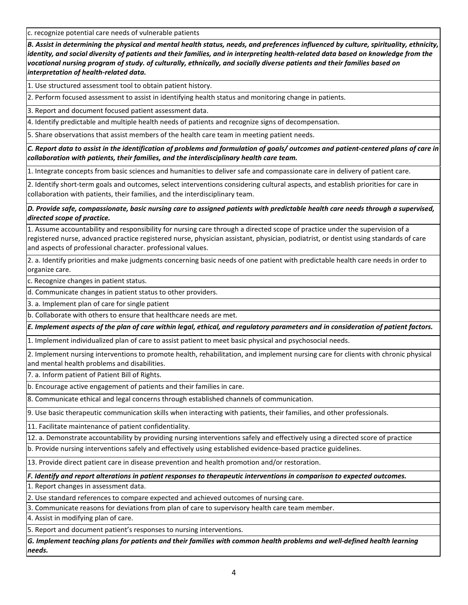c. recognize potential care needs of vulnerable patients

*B. Assist in determining the physical and mental health status, needs, and preferences influenced by culture, spirituality, ethnicity, identity, and social diversity of patients and their families, and in interpreting health-related data based on knowledge from the vocational nursing program of study. of culturally, ethnically, and socially diverse patients and their families based on interpretation of health-related data.*

1. Use structured assessment tool to obtain patient history.

2. Perform focused assessment to assist in identifying health status and monitoring change in patients.

3. Report and document focused patient assessment data.

4. Identify predictable and multiple health needs of patients and recognize signs of decompensation.

5. Share observations that assist members of the health care team in meeting patient needs.

*C. Report data to assist in the identification of problems and formulation of goals/ outcomes and patient-centered plans of care in collaboration with patients, their families, and the interdisciplinary health care team.*

1. Integrate concepts from basic sciences and humanities to deliver safe and compassionate care in delivery of patient care.

2. Identify short-term goals and outcomes, select interventions considering cultural aspects, and establish priorities for care in collaboration with patients, their families, and the interdisciplinary team.

*D. Provide safe, compassionate, basic nursing care to assigned patients with predictable health care needs through a supervised, directed scope of practice.*

1. Assume accountability and responsibility for nursing care through a directed scope of practice under the supervision of a registered nurse, advanced practice registered nurse, physician assistant, physician, podiatrist, or dentist using standards of care and aspects of professional character. professional values.

2. a. Identify priorities and make judgments concerning basic needs of one patient with predictable health care needs in order to organize care.

c. Recognize changes in patient status.

d. Communicate changes in patient status to other providers.

3. a. Implement plan of care for single patient

b. Collaborate with others to ensure that healthcare needs are met.

*E. Implement aspects of the plan of care within legal, ethical, and regulatory parameters and in consideration of patient factors.*

1. Implement individualized plan of care to assist patient to meet basic physical and psychosocial needs.

2. Implement nursing interventions to promote health, rehabilitation, and implement nursing care for clients with chronic physical and mental health problems and disabilities.

7. a. Inform patient of Patient Bill of Rights.

b. Encourage active engagement of patients and their families in care.

8. Communicate ethical and legal concerns through established channels of communication.

9. Use basic therapeutic communication skills when interacting with patients, their families, and other professionals.

11. Facilitate maintenance of patient confidentiality.

12. a. Demonstrate accountability by providing nursing interventions safely and effectively using a directed score of practice

b. Provide nursing interventions safely and effectively using established evidence-based practice guidelines.

13. Provide direct patient care in disease prevention and health promotion and/or restoration.

*F. Identify and report alterations in patient responses to therapeutic interventions in comparison to expected outcomes.*

1. Report changes in assessment data.

2. Use standard references to compare expected and achieved outcomes of nursing care.

3. Communicate reasons for deviations from plan of care to supervisory health care team member.

4. Assist in modifying plan of care.

5. Report and document patient's responses to nursing interventions.

*G. Implement teaching plans for patients and their families with common health problems and well-defined health learning needs.*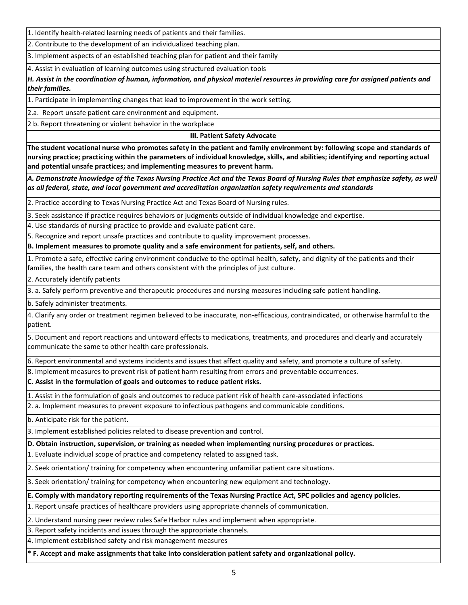1. Identify health-related learning needs of patients and their families.

2. Contribute to the development of an individualized teaching plan.

3. Implement aspects of an established teaching plan for patient and their family

4. Assist in evaluation of learning outcomes using structured evaluation tools

*H. Assist in the coordination of human, information, and physical materiel resources in providing care for assigned patients and their families.*

1. Participate in implementing changes that lead to improvement in the work setting.

2.a. Report unsafe patient care environment and equipment.

2 b. Report threatening or violent behavior in the workplace

**III. Patient Safety Advocate**

**The student vocational nurse who promotes safety in the patient and family environment by: following scope and standards of nursing practice; practicing within the parameters of individual knowledge, skills, and abilities; identifying and reporting actual and potential unsafe practices; and implementing measures to prevent harm.** 

*A. Demonstrate knowledge of the Texas Nursing Practice Act and the Texas Board of Nursing Rules that emphasize safety, as well as all federal, state, and local government and accreditation organization safety requirements and standards*

2. Practice according to Texas Nursing Practice Act and Texas Board of Nursing rules.

3. Seek assistance if practice requires behaviors or judgments outside of individual knowledge and expertise.

4. Use standards of nursing practice to provide and evaluate patient care.

5. Recognize and report unsafe practices and contribute to quality improvement processes.

**B. Implement measures to promote quality and a safe environment for patients, self, and others.**

1. Promote a safe, effective caring environment conducive to the optimal health, safety, and dignity of the patients and their families, the health care team and others consistent with the principles of just culture.

2. Accurately identify patients

3. a. Safely perform preventive and therapeutic procedures and nursing measures including safe patient handling.

b. Safely administer treatments.

4. Clarify any order or treatment regimen believed to be inaccurate, non-efficacious, contraindicated, or otherwise harmful to the patient.

5. Document and report reactions and untoward effects to medications, treatments, and procedures and clearly and accurately communicate the same to other health care professionals.

6. Report environmental and systems incidents and issues that affect quality and safety, and promote a culture of safety.

8. Implement measures to prevent risk of patient harm resulting from errors and preventable occurrences.

**C. Assist in the formulation of goals and outcomes to reduce patient risks.**

1. Assist in the formulation of goals and outcomes to reduce patient risk of health care-associated infections

2. a. Implement measures to prevent exposure to infectious pathogens and communicable conditions.

b. Anticipate risk for the patient.

3. Implement established policies related to disease prevention and control.

**D. Obtain instruction, supervision, or training as needed when implementing nursing procedures or practices.**

1. Evaluate individual scope of practice and competency related to assigned task.

2. Seek orientation/ training for competency when encountering unfamiliar patient care situations.

3. Seek orientation/ training for competency when encountering new equipment and technology.

**E. Comply with mandatory reporting requirements of the Texas Nursing Practice Act, SPC policies and agency policies.**

1. Report unsafe practices of healthcare providers using appropriate channels of communication.

2. Understand nursing peer review rules Safe Harbor rules and implement when appropriate.

3. Report safety incidents and issues through the appropriate channels.

4. Implement established safety and risk management measures

**\* F. Accept and make assignments that take into consideration patient safety and organizational policy.**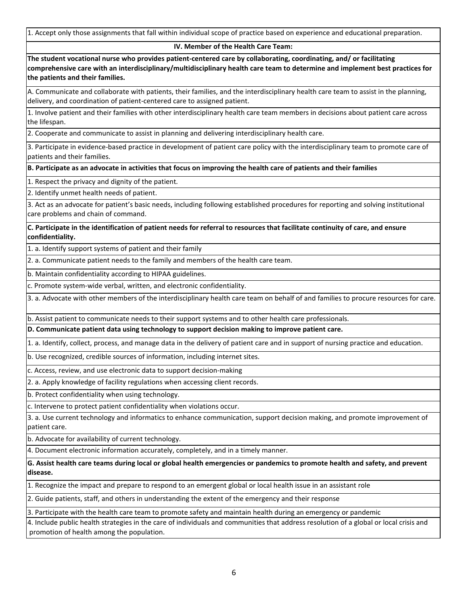1. Accept only those assignments that fall within individual scope of practice based on experience and educational preparation.

## **IV. Member of the Health Care Team:**

**The student vocational nurse who provides patient-centered care by collaborating, coordinating, and/ or facilitating comprehensive care with an interdisciplinary/multidisciplinary health care team to determine and implement best practices for the patients and their families.** 

A. Communicate and collaborate with patients, their families, and the interdisciplinary health care team to assist in the planning, delivery, and coordination of patient-centered care to assigned patient.

1. Involve patient and their families with other interdisciplinary health care team members in decisions about patient care across the lifespan.

2. Cooperate and communicate to assist in planning and delivering interdisciplinary health care.

3. Participate in evidence-based practice in development of patient care policy with the interdisciplinary team to promote care of patients and their families.

**B. Participate as an advocate in activities that focus on improving the health care of patients and their families**

1. Respect the privacy and dignity of the patient*.*

2. Identify unmet health needs of patient.

3. Act as an advocate for patient's basic needs, including following established procedures for reporting and solving institutional care problems and chain of command.

**C. Participate in the identification of patient needs for referral to resources that facilitate continuity of care, and ensure confidentiality.**

1. a. Identify support systems of patient and their family

2. a. Communicate patient needs to the family and members of the health care team.

b. Maintain confidentiality according to HIPAA guidelines.

c. Promote system-wide verbal, written, and electronic confidentiality.

3. a. Advocate with other members of the interdisciplinary health care team on behalf of and families to procure resources for care.

b. Assist patient to communicate needs to their support systems and to other health care professionals.

**D. Communicate patient data using technology to support decision making to improve patient care.**

1. a. Identify, collect, process, and manage data in the delivery of patient care and in support of nursing practice and education.

b. Use recognized, credible sources of information, including internet sites.

c. Access, review, and use electronic data to support decision-making

2. a. Apply knowledge of facility regulations when accessing client records.

b. Protect confidentiality when using technology.

c. Intervene to protect patient confidentiality when violations occur.

3. a. Use current technology and informatics to enhance communication, support decision making, and promote improvement of patient care.

b. Advocate for availability of current technology.

4. Document electronic information accurately, completely, and in a timely manner.

**G. Assist health care teams during local or global health emergencies or pandemics to promote health and safety, and prevent disease.**

1. Recognize the impact and prepare to respond to an emergent global or local health issue in an assistant role

2. Guide patients, staff, and others in understanding the extent of the emergency and their response

3. Participate with the health care team to promote safety and maintain health during an emergency or pandemic

4. Include public health strategies in the care of individuals and communities that address resolution of a global or local crisis and promotion of health among the population.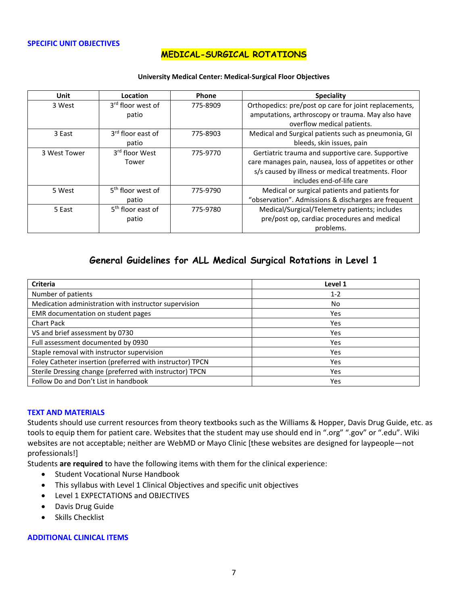## **SPECIFIC UNIT OBJECTIVES**

# **MEDICAL-SURGICAL ROTATIONS**

### **University Medical Center: Medical-Surgical Floor Objectives**

| <b>Unit</b>  | <b>Location</b>                        | <b>Phone</b> | <b>Speciality</b>                                                                                                                                                                             |
|--------------|----------------------------------------|--------------|-----------------------------------------------------------------------------------------------------------------------------------------------------------------------------------------------|
| 3 West       | 3 <sup>rd</sup> floor west of<br>patio | 775-8909     | Orthopedics: pre/post op care for joint replacements,<br>amputations, arthroscopy or trauma. May also have<br>overflow medical patients.                                                      |
| 3 East       | 3 <sup>rd</sup> floor east of<br>patio | 775-8903     | Medical and Surgical patients such as pneumonia, GI<br>bleeds, skin issues, pain                                                                                                              |
| 3 West Tower | 3 <sup>rd</sup> floor West<br>Tower    | 775-9770     | Gertiatric trauma and supportive care. Supportive<br>care manages pain, nausea, loss of appetites or other<br>s/s caused by illness or medical treatments. Floor<br>includes end-of-life care |
| 5 West       | 5 <sup>th</sup> floor west of<br>patio | 775-9790     | Medical or surgical patients and patients for<br>"observation". Admissions & discharges are frequent                                                                                          |
| 5 East       | 5 <sup>th</sup> floor east of<br>patio | 775-9780     | Medical/Surgical/Telemetry patients; includes<br>pre/post op, cardiac procedures and medical<br>problems.                                                                                     |

# **General Guidelines for ALL Medical Surgical Rotations in Level 1**

| <b>Criteria</b>                                           | Level 1 |
|-----------------------------------------------------------|---------|
| Number of patients                                        | $1 - 2$ |
| Medication administration with instructor supervision     | No      |
| EMR documentation on student pages                        | Yes     |
| <b>Chart Pack</b>                                         | Yes     |
| VS and brief assessment by 0730                           | Yes     |
| Full assessment documented by 0930                        | Yes     |
| Staple removal with instructor supervision                | Yes     |
| Foley Catheter insertion (preferred with instructor) TPCN | Yes     |
| Sterile Dressing change (preferred with instructor) TPCN  | Yes     |
| Follow Do and Don't List in handbook                      | Yes     |

## **TEXT AND MATERIALS**

Students should use current resources from theory textbooks such as the Williams & Hopper, Davis Drug Guide, etc. as tools to equip them for patient care. Websites that the student may use should end in ".org" ".gov" or ".edu". Wiki websites are not acceptable; neither are WebMD or Mayo Clinic [these websites are designed for laypeople—not professionals!]

Students **are required** to have the following items with them for the clinical experience:

- Student Vocational Nurse Handbook
- This syllabus with Level 1 Clinical Objectives and specific unit objectives
- Level 1 EXPECTATIONS and OBJECTIVES
- Davis Drug Guide
- Skills Checklist

## **ADDITIONAL CLINICAL ITEMS**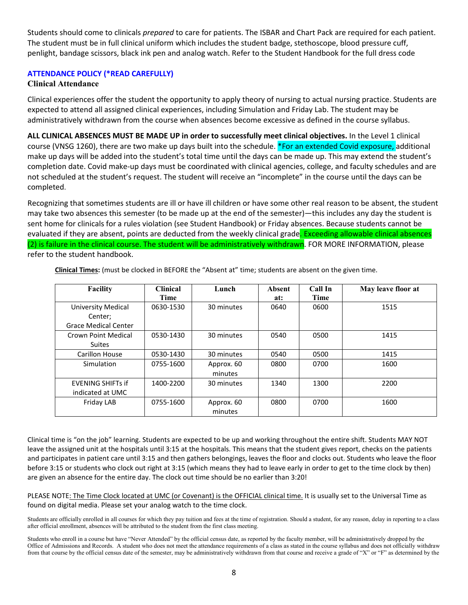Students should come to clinicals *prepared* to care for patients. The ISBAR and Chart Pack are required for each patient. The student must be in full clinical uniform which includes the student badge, stethoscope, blood pressure cuff, penlight, bandage scissors, black ink pen and analog watch. Refer to the Student Handbook for the full dress code

# **ATTENDANCE POLICY (\*READ CAREFULLY)**

# **Clinical Attendance**

Clinical experiences offer the student the opportunity to apply theory of nursing to actual nursing practice. Students are expected to attend all assigned clinical experiences, including Simulation and Friday Lab. The student may be administratively withdrawn from the course when absences become excessive as defined in the course syllabus.

**ALL CLINICAL ABSENCES MUST BE MADE UP in order to successfully meet clinical objectives.** In the Level 1 clinical course (VNSG 1260), there are two make up days built into the schedule. \*For an extended Covid exposure, additional make up days will be added into the student's total time until the days can be made up. This may extend the student's completion date. Covid make-up days must be coordinated with clinical agencies, college, and faculty schedules and are not scheduled at the student's request. The student will receive an "incomplete" in the course until the days can be completed.

Recognizing that sometimes students are ill or have ill children or have some other real reason to be absent, the student may take two absences this semester (to be made up at the end of the semester)—this includes any day the student is sent home for clinicals for a rules violation (see Student Handbook) or Friday absences. Because students cannot be evaluated if they are absent, points are deducted from the weekly clinical grade. Exceeding allowable clinical absences (2) is failure in the clinical course. The student will be administratively withdrawn. FOR MORE INFORMATION, please refer to the student handbook.

| <b>Facility</b>             | <b>Clinical</b> | Lunch      | Absent | Call In | May leave floor at |
|-----------------------------|-----------------|------------|--------|---------|--------------------|
|                             | <b>Time</b>     |            | at:    | Time    |                    |
| University Medical          | 0630-1530       | 30 minutes | 0640   | 0600    | 1515               |
| Center;                     |                 |            |        |         |                    |
| <b>Grace Medical Center</b> |                 |            |        |         |                    |
| Crown Point Medical         | 0530-1430       | 30 minutes | 0540   | 0500    | 1415               |
| <b>Suites</b>               |                 |            |        |         |                    |
| Carillon House              | 0530-1430       | 30 minutes | 0540   | 0500    | 1415               |
| Simulation                  | 0755-1600       | Approx. 60 | 0800   | 0700    | 1600               |
|                             |                 | minutes    |        |         |                    |
| <b>EVENING SHIFTs if</b>    | 1400-2200       | 30 minutes | 1340   | 1300    | 2200               |
| indicated at UMC            |                 |            |        |         |                    |
| Friday LAB                  | 0755-1600       | Approx. 60 | 0800   | 0700    | 1600               |
|                             |                 | minutes    |        |         |                    |

**Clinical Times:** (must be clocked in BEFORE the "Absent at" time; students are absent on the given time.

Clinical time is "on the job" learning. Students are expected to be up and working throughout the entire shift. Students MAY NOT leave the assigned unit at the hospitals until 3:15 at the hospitals. This means that the student gives report, checks on the patients and participates in patient care until 3:15 and then gathers belongings, leaves the floor and clocks out. Students who leave the floor before 3:15 or students who clock out right at 3:15 (which means they had to leave early in order to get to the time clock by then) are given an absence for the entire day. The clock out time should be no earlier than 3:20!

PLEASE NOTE: The Time Clock located at UMC (or Covenant) is the OFFICIAL clinical time. It is usually set to the Universal Time as found on digital media. Please set your analog watch to the time clock.

Students are officially enrolled in all courses for which they pay tuition and fees at the time of registration. Should a student, for any reason, delay in reporting to a class after official enrollment, absences will be attributed to the student from the first class meeting.

Students who enroll in a course but have "Never Attended" by the official census date, as reported by the faculty member, will be administratively dropped by the Office of Admissions and Records. A student who does not meet the attendance requirements of a class as stated in the course syllabus and does not officially withdraw from that course by the official census date of the semester, may be administratively withdrawn from that course and receive a grade of "X" or "F" as determined by the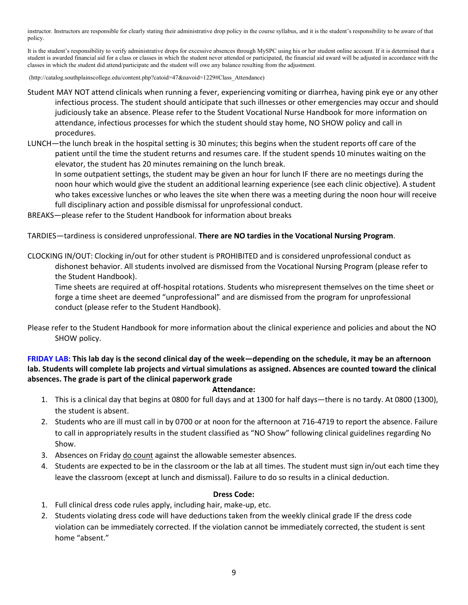instructor. Instructors are responsible for clearly stating their administrative drop policy in the course syllabus, and it is the student's responsibility to be aware of that policy.

It is the student's responsibility to verify administrative drops for excessive absences through MySPC using his or her student online account. If it is determined that a student is awarded financial aid for a class or classes in which the student never attended or participated, the financial aid award will be adjusted in accordance with the classes in which the student did attend/participate and the student will owe any balance resulting from the adjustment.

(http://catalog.southplainscollege.edu/content.php?catoid=47&navoid=1229#Class\_Attendance)

- Student MAY NOT attend clinicals when running a fever, experiencing vomiting or diarrhea, having pink eye or any other infectious process. The student should anticipate that such illnesses or other emergencies may occur and should judiciously take an absence. Please refer to the Student Vocational Nurse Handbook for more information on attendance, infectious processes for which the student should stay home, NO SHOW policy and call in procedures.
- LUNCH—the lunch break in the hospital setting is 30 minutes; this begins when the student reports off care of the patient until the time the student returns and resumes care. If the student spends 10 minutes waiting on the elevator, the student has 20 minutes remaining on the lunch break.

In some outpatient settings, the student may be given an hour for lunch IF there are no meetings during the noon hour which would give the student an additional learning experience (see each clinic objective). A student who takes excessive lunches or who leaves the site when there was a meeting during the noon hour will receive full disciplinary action and possible dismissal for unprofessional conduct.

BREAKS—please refer to the Student Handbook for information about breaks

TARDIES—tardiness is considered unprofessional. **There are NO tardies in the Vocational Nursing Program**.

CLOCKING IN/OUT: Clocking in/out for other student is PROHIBITED and is considered unprofessional conduct as dishonest behavior. All students involved are dismissed from the Vocational Nursing Program (please refer to the Student Handbook).

Time sheets are required at off-hospital rotations. Students who misrepresent themselves on the time sheet or forge a time sheet are deemed "unprofessional" and are dismissed from the program for unprofessional conduct (please refer to the Student Handbook).

Please refer to the Student Handbook for more information about the clinical experience and policies and about the NO SHOW policy.

**FRIDAY LAB: This lab day is the second clinical day of the week—depending on the schedule, it may be an afternoon lab. Students will complete lab projects and virtual simulations as assigned. Absences are counted toward the clinical absences. The grade is part of the clinical paperwork grade**

## **Attendance:**

- 1. This is a clinical day that begins at 0800 for full days and at 1300 for half days—there is no tardy. At 0800 (1300), the student is absent.
- 2. Students who are ill must call in by 0700 or at noon for the afternoon at 716-4719 to report the absence. Failure to call in appropriately results in the student classified as "NO Show" following clinical guidelines regarding No Show.
- 3. Absences on Friday do count against the allowable semester absences.
- 4. Students are expected to be in the classroom or the lab at all times. The student must sign in/out each time they leave the classroom (except at lunch and dismissal). Failure to do so results in a clinical deduction.

## **Dress Code:**

- 1. Full clinical dress code rules apply, including hair, make-up, etc.
- 2. Students violating dress code will have deductions taken from the weekly clinical grade IF the dress code violation can be immediately corrected. If the violation cannot be immediately corrected, the student is sent home "absent."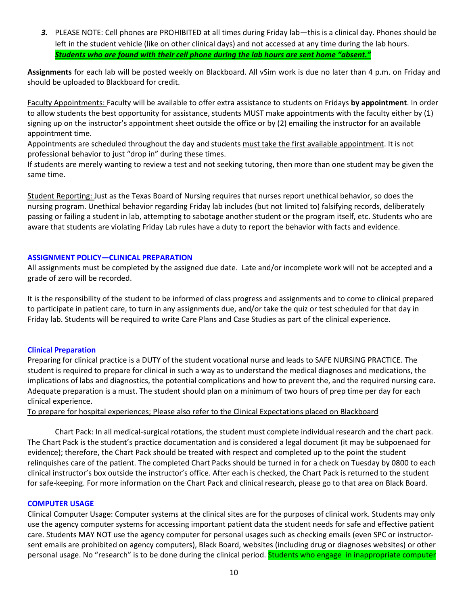*3.* PLEASE NOTE: Cell phones are PROHIBITED at all times during Friday lab—this is a clinical day. Phones should be left in the student vehicle (like on other clinical days) and not accessed at any time during the lab hours. *Students who are found with their cell phone during the lab hours are sent home "absent."*

**Assignments** for each lab will be posted weekly on Blackboard. All vSim work is due no later than 4 p.m. on Friday and should be uploaded to Blackboard for credit.

Faculty Appointments: Faculty will be available to offer extra assistance to students on Fridays **by appointment**. In order to allow students the best opportunity for assistance, students MUST make appointments with the faculty either by (1) signing up on the instructor's appointment sheet outside the office or by (2) emailing the instructor for an available appointment time.

Appointments are scheduled throughout the day and students must take the first available appointment. It is not professional behavior to just "drop in" during these times.

If students are merely wanting to review a test and not seeking tutoring, then more than one student may be given the same time.

Student Reporting: Just as the Texas Board of Nursing requires that nurses report unethical behavior, so does the nursing program. Unethical behavior regarding Friday lab includes (but not limited to) falsifying records, deliberately passing or failing a student in lab, attempting to sabotage another student or the program itself, etc. Students who are aware that students are violating Friday Lab rules have a duty to report the behavior with facts and evidence.

# **ASSIGNMENT POLICY—CLINICAL PREPARATION**

All assignments must be completed by the assigned due date. Late and/or incomplete work will not be accepted and a grade of zero will be recorded.

It is the responsibility of the student to be informed of class progress and assignments and to come to clinical prepared to participate in patient care, to turn in any assignments due, and/or take the quiz or test scheduled for that day in Friday lab. Students will be required to write Care Plans and Case Studies as part of the clinical experience.

# **Clinical Preparation**

Preparing for clinical practice is a DUTY of the student vocational nurse and leads to SAFE NURSING PRACTICE. The student is required to prepare for clinical in such a way as to understand the medical diagnoses and medications, the implications of labs and diagnostics, the potential complications and how to prevent the, and the required nursing care. Adequate preparation is a must. The student should plan on a minimum of two hours of prep time per day for each clinical experience.

To prepare for hospital experiences; Please also refer to the Clinical Expectations placed on Blackboard

Chart Pack: In all medical-surgical rotations, the student must complete individual research and the chart pack. The Chart Pack is the student's practice documentation and is considered a legal document (it may be subpoenaed for evidence); therefore, the Chart Pack should be treated with respect and completed up to the point the student relinquishes care of the patient. The completed Chart Packs should be turned in for a check on Tuesday by 0800 to each clinical instructor's box outside the instructor's office. After each is checked, the Chart Pack is returned to the student for safe-keeping. For more information on the Chart Pack and clinical research, please go to that area on Black Board.

## **COMPUTER USAGE**

Clinical Computer Usage: Computer systems at the clinical sites are for the purposes of clinical work. Students may only use the agency computer systems for accessing important patient data the student needs for safe and effective patient care. Students MAY NOT use the agency computer for personal usages such as checking emails (even SPC or instructorsent emails are prohibited on agency computers), Black Board, websites (including drug or diagnoses websites) or other personal usage. No "research" is to be done during the clinical period. Students who engage in inappropriate computer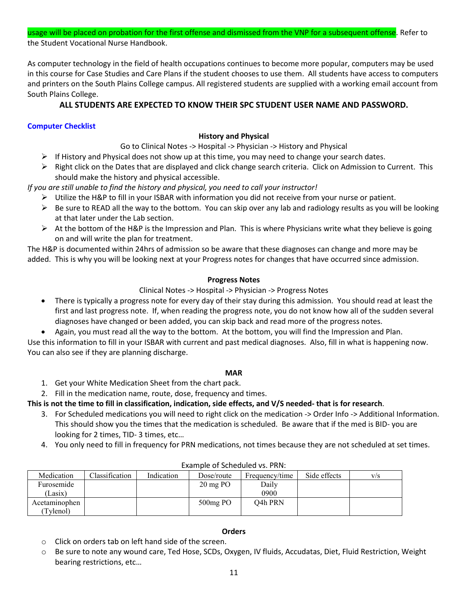usage will be placed on probation for the first offense and dismissed from the VNP for a subsequent offense. Refer to the Student Vocational Nurse Handbook.

As computer technology in the field of health occupations continues to become more popular, computers may be used in this course for Case Studies and Care Plans if the student chooses to use them. All students have access to computers and printers on the South Plains College campus. All registered students are supplied with a working email account from South Plains College.

# **ALL STUDENTS ARE EXPECTED TO KNOW THEIR SPC STUDENT USER NAME AND PASSWORD.**

# **Computer Checklist**

# **History and Physical**

- Go to Clinical Notes -> Hospital -> Physician -> History and Physical
- $\triangleright$  If History and Physical does not show up at this time, you may need to change your search dates.
- $\triangleright$  Right click on the Dates that are displayed and click change search criteria. Click on Admission to Current. This should make the history and physical accessible.

*If you are still unable to find the history and physical, you need to call your instructor!*

- $\triangleright$  Utilize the H&P to fill in your ISBAR with information you did not receive from your nurse or patient.
- $\triangleright$  Be sure to READ all the way to the bottom. You can skip over any lab and radiology results as you will be looking at that later under the Lab section.
- $\triangleright$  At the bottom of the H&P is the Impression and Plan. This is where Physicians write what they believe is going on and will write the plan for treatment.

The H&P is documented within 24hrs of admission so be aware that these diagnoses can change and more may be added. This is why you will be looking next at your Progress notes for changes that have occurred since admission.

# **Progress Notes**

# Clinical Notes -> Hospital -> Physician -> Progress Notes

- There is typically a progress note for every day of their stay during this admission. You should read at least the first and last progress note. If, when reading the progress note, you do not know how all of the sudden several diagnoses have changed or been added, you can skip back and read more of the progress notes.
- Again, you must read all the way to the bottom. At the bottom, you will find the Impression and Plan.

Use this information to fill in your ISBAR with current and past medical diagnoses. Also, fill in what is happening now. You can also see if they are planning discharge.

# **MAR**

- 1. Get your White Medication Sheet from the chart pack.
- 2. Fill in the medication name, route, dose, frequency and times.

# **This is not the time to fill in classification, indication, side effects, and V/S needed- that is for research**.

- 3. For Scheduled medications you will need to right click on the medication -> Order Info -> Additional Information. This should show you the times that the medication is scheduled. Be aware that if the med is BID- you are looking for 2 times, TID- 3 times, etc…
- 4. You only need to fill in frequency for PRN medications, not times because they are not scheduled at set times.

| Medication    | Classification | Indication | Dose/route            | Frequency/time       | Side effects | V/S |
|---------------|----------------|------------|-----------------------|----------------------|--------------|-----|
| Furosemide    |                |            | $20 \,\mathrm{mg}$ PO | Daily                |              |     |
| Lasix)        |                |            |                       | 0900                 |              |     |
| Acetaminophen |                |            | $500mg$ PO            | O <sub>4</sub> h PRN |              |     |
| Tvlenol)      |                |            |                       |                      |              |     |

# Example of Scheduled vs. PRN:

# **Orders**

- o Click on orders tab on left hand side of the screen.
- o Be sure to note any wound care, Ted Hose, SCDs, Oxygen, IV fluids, Accudatas, Diet, Fluid Restriction, Weight bearing restrictions, etc…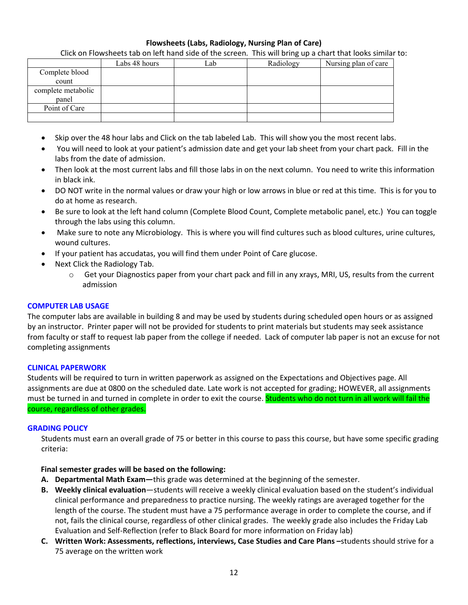# **Flowsheets (Labs, Radiology, Nursing Plan of Care)**

Click on Flowsheets tab on left hand side of the screen. This will bring up a chart that looks similar to:

|                    | Labs 48 hours | .ab | Radiology | Nursing plan of care |
|--------------------|---------------|-----|-----------|----------------------|
| Complete blood     |               |     |           |                      |
| count              |               |     |           |                      |
| complete metabolic |               |     |           |                      |
| panel              |               |     |           |                      |
| Point of Care      |               |     |           |                      |
|                    |               |     |           |                      |

- Skip over the 48 hour labs and Click on the tab labeled Lab. This will show you the most recent labs.
- You will need to look at your patient's admission date and get your lab sheet from your chart pack. Fill in the labs from the date of admission.
- Then look at the most current labs and fill those labs in on the next column. You need to write this information in black ink.
- DO NOT write in the normal values or draw your high or low arrows in blue or red at this time. This is for you to do at home as research.
- Be sure to look at the left hand column (Complete Blood Count, Complete metabolic panel, etc.) You can toggle through the labs using this column.
- Make sure to note any Microbiology. This is where you will find cultures such as blood cultures, urine cultures, wound cultures.
- If your patient has accudatas, you will find them under Point of Care glucose.
- Next Click the Radiology Tab.
	- o Get your Diagnostics paper from your chart pack and fill in any xrays, MRI, US, results from the current admission

## **COMPUTER LAB USAGE**

The computer labs are available in building 8 and may be used by students during scheduled open hours or as assigned by an instructor. Printer paper will not be provided for students to print materials but students may seek assistance from faculty or staff to request lab paper from the college if needed. Lack of computer lab paper is not an excuse for not completing assignments

## **CLINICAL PAPERWORK**

Students will be required to turn in written paperwork as assigned on the Expectations and Objectives page. All assignments are due at 0800 on the scheduled date. Late work is not accepted for grading; HOWEVER, all assignments must be turned in and turned in complete in order to exit the course. Students who do not turn in all work will fail the course, regardless of other grades.

## **GRADING POLICY**

Students must earn an overall grade of 75 or better in this course to pass this course, but have some specific grading criteria:

# **Final semester grades will be based on the following:**

- **A. Departmental Math Exam—**this grade was determined at the beginning of the semester.
- **B. Weekly clinical evaluation**—students will receive a weekly clinical evaluation based on the student's individual clinical performance and preparedness to practice nursing. The weekly ratings are averaged together for the length of the course. The student must have a 75 performance average in order to complete the course, and if not, fails the clinical course, regardless of other clinical grades. The weekly grade also includes the Friday Lab Evaluation and Self-Reflection (refer to Black Board for more information on Friday lab)
- **C. Written Work: Assessments, reflections, interviews, Case Studies and Care Plans –**students should strive for a 75 average on the written work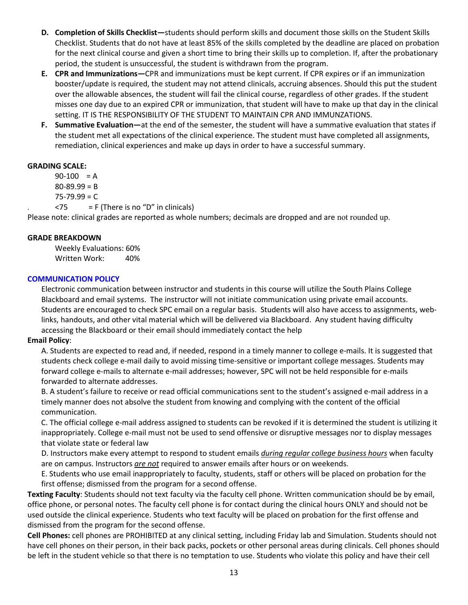- **D. Completion of Skills Checklist—**students should perform skills and document those skills on the Student Skills Checklist. Students that do not have at least 85% of the skills completed by the deadline are placed on probation for the next clinical course and given a short time to bring their skills up to completion. If, after the probationary period, the student is unsuccessful, the student is withdrawn from the program.
- **E. CPR and Immunizations—**CPR and immunizations must be kept current. If CPR expires or if an immunization booster/update is required, the student may not attend clinicals, accruing absences. Should this put the student over the allowable absences, the student will fail the clinical course, regardless of other grades. If the student misses one day due to an expired CPR or immunization, that student will have to make up that day in the clinical setting. IT IS THE RESPONSIBILITY OF THE STUDENT TO MAINTAIN CPR AND IMMUNZATIONS.
- **F. Summative Evaluation—**at the end of the semester, the student will have a summative evaluation that states if the student met all expectations of the clinical experience. The student must have completed all assignments, remediation, clinical experiences and make up days in order to have a successful summary.

# **GRADING SCALE:**

 $90-100 = A$ 

 $80 - 89.99 = B$ 

 $75 - 79.99 = C$ 

 $<$ 75 = F (There is no "D" in clinicals)

Please note: clinical grades are reported as whole numbers; decimals are dropped and are not rounded up.

# **GRADE BREAKDOWN**

Weekly Evaluations: 60% Written Work: 40%

# **COMMUNICATION POLICY**

Electronic communication between instructor and students in this course will utilize the South Plains College Blackboard and email systems. The instructor will not initiate communication using private email accounts. Students are encouraged to check SPC email on a regular basis. Students will also have access to assignments, weblinks, handouts, and other vital material which will be delivered via Blackboard. Any student having difficulty accessing the Blackboard or their email should immediately contact the help

# **Email Policy**:

A. Students are expected to read and, if needed, respond in a timely manner to college e-mails. It is suggested that students check college e-mail daily to avoid missing time-sensitive or important college messages. Students may forward college e-mails to alternate e-mail addresses; however, SPC will not be held responsible for e-mails forwarded to alternate addresses.

B. A student's failure to receive or read official communications sent to the student's assigned e-mail address in a timely manner does not absolve the student from knowing and complying with the content of the official communication.

C. The official college e-mail address assigned to students can be revoked if it is determined the student is utilizing it inappropriately. College e-mail must not be used to send offensive or disruptive messages nor to display messages that violate state or federal law

D. Instructors make every attempt to respond to student emails *during regular college business hours* when faculty are on campus. Instructors *are not* required to answer emails after hours or on weekends.

E. Students who use email inappropriately to faculty, students, staff or others will be placed on probation for the first offense; dismissed from the program for a second offense.

**Texting Faculty**: Students should not text faculty via the faculty cell phone. Written communication should be by email, office phone, or personal notes. The faculty cell phone is for contact during the clinical hours ONLY and should not be used outside the clinical experience. Students who text faculty will be placed on probation for the first offense and dismissed from the program for the second offense.

**Cell Phones:** cell phones are PROHIBITED at any clinical setting, including Friday lab and Simulation. Students should not have cell phones on their person, in their back packs, pockets or other personal areas during clinicals. Cell phones should be left in the student vehicle so that there is no temptation to use. Students who violate this policy and have their cell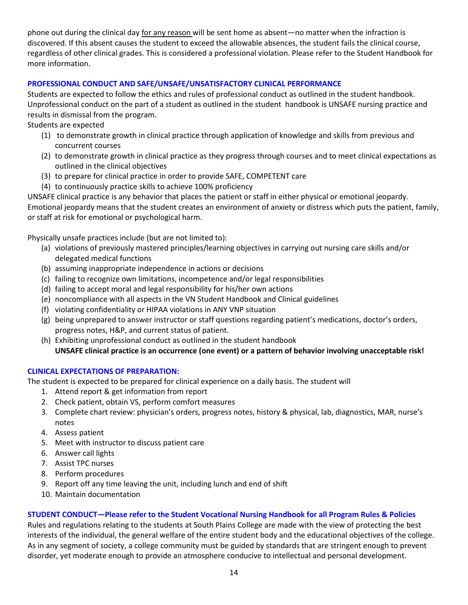phone out during the clinical day for any reason will be sent home as absent—no matter when the infraction is discovered. If this absent causes the student to exceed the allowable absences, the student fails the clinical course, regardless of other clinical grades. This is considered a professional violation. Please refer to the Student Handbook for more information.

# **PROFESSIONAL CONDUCT AND SAFE/UNSAFE/UNSATISFACTORY CLINICAL PERFORMANCE**

Students are expected to follow the ethics and rules of professional conduct as outlined in the student handbook. Unprofessional conduct on the part of a student as outlined in the student handbook is UNSAFE nursing practice and results in dismissal from the program.

# Students are expected

- (1) to demonstrate growth in clinical practice through application of knowledge and skills from previous and concurrent courses
- (2) to demonstrate growth in clinical practice as they progress through courses and to meet clinical expectations as outlined in the clinical objectives
- (3) to prepare for clinical practice in order to provide SAFE, COMPETENT care
- (4) to continuously practice skills to achieve 100% proficiency

UNSAFE clinical practice is any behavior that places the patient or staff in either physical or emotional jeopardy.

Emotional jeopardy means that the student creates an environment of anxiety or distress which puts the patient, family, or staff at risk for emotional or psychological harm.

Physically unsafe practices include (but are not limited to):

- (a) violations of previously mastered principles/learning objectives in carrying out nursing care skills and/or delegated medical functions
- (b) assuming inappropriate independence in actions or decisions
- (c) failing to recognize own limitations, incompetence and/or legal responsibilities
- (d) failing to accept moral and legal responsibility for his/her own actions
- (e) noncompliance with all aspects in the VN Student Handbook and Clinical guidelines
- (f) violating confidentiality or HIPAA violations in ANY VNP situation
- (g) being unprepared to answer instructor or staff questions regarding patient's medications, doctor's orders, progress notes, H&P, and current status of patient.
- (h) Exhibiting unprofessional conduct as outlined in the student handbook **UNSAFE clinical practice is an occurrence (one event) or a pattern of behavior involving unacceptable risk!**

# **CLINICAL EXPECTATIONS OF PREPARATION:**

The student is expected to be prepared for clinical experience on a daily basis. The student will

- 1. Attend report & get information from report
- 2. Check patient, obtain VS, perform comfort measures
- 3. Complete chart review: physician's orders, progress notes, history & physical, lab, diagnostics, MAR, nurse's notes
- 4. Assess patient
- 5. Meet with instructor to discuss patient care
- 6. Answer call lights
- 7. Assist TPC nurses
- 8. Perform procedures
- 9. Report off any time leaving the unit, including lunch and end of shift
- 10. Maintain documentation

# **STUDENT CONDUCT—Please refer to the Student Vocational Nursing Handbook for all Program Rules & Policies**

Rules and regulations relating to the students at South Plains College are made with the view of protecting the best interests of the individual, the general welfare of the entire student body and the educational objectives of the college. As in any segment of society, a college community must be guided by standards that are stringent enough to prevent disorder, yet moderate enough to provide an atmosphere conducive to intellectual and personal development.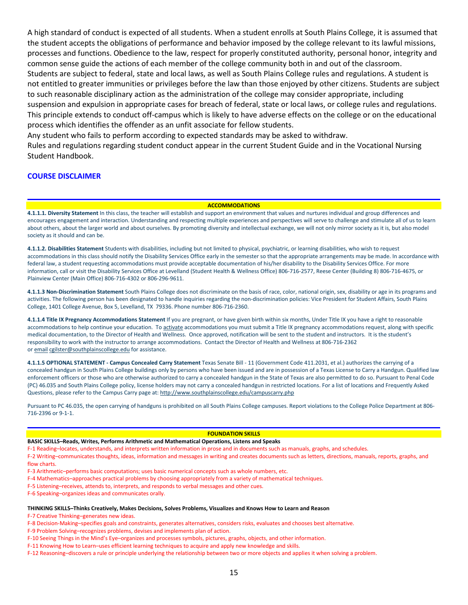A high standard of conduct is expected of all students. When a student enrolls at South Plains College, it is assumed that the student accepts the obligations of performance and behavior imposed by the college relevant to its lawful missions, processes and functions. Obedience to the law, respect for properly constituted authority, personal honor, integrity and common sense guide the actions of each member of the college community both in and out of the classroom. Students are subject to federal, state and local laws, as well as South Plains College rules and regulations. A student is not entitled to greater immunities or privileges before the law than those enjoyed by other citizens. Students are subject to such reasonable disciplinary action as the administration of the college may consider appropriate, including suspension and expulsion in appropriate cases for breach of federal, state or local laws, or college rules and regulations. This principle extends to conduct off-campus which is likely to have adverse effects on the college or on the educational process which identifies the offender as an unfit associate for fellow students.

Any student who fails to perform according to expected standards may be asked to withdraw.

Rules and regulations regarding student conduct appear in the current Student Guide and in the Vocational Nursing Student Handbook.

## **COURSE DISCLAIMER**

#### **ACCOMMODATIONS**

**4.1.1.1. Diversity Statement** In this class, the teacher will establish and support an environment that values and nurtures individual and group differences and encourages engagement and interaction. Understanding and respecting multiple experiences and perspectives will serve to challenge and stimulate all of us to learn about others, about the larger world and about ourselves. By promoting diversity and intellectual exchange, we will not only mirror society as it is, but also model society as it should and can be.

**4.1.1.2. Disabilities Statement** Students with disabilities, including but not limited to physical, psychiatric, or learning disabilities, who wish to request accommodations in this class should notify the Disability Services Office early in the semester so that the appropriate arrangements may be made. In accordance with federal law, a student requesting accommodations must provide acceptable documentation of his/her disability to the Disability Services Office. For more information, call or visit the Disability Services Office at Levelland (Student Health & Wellness Office) 806-716-2577, Reese Center (Building 8) 806-716-4675, or Plainview Center (Main Office) 806-716-4302 or 806-296-9611.

**4.1.1.3 Non-Discrimination Statement** South Plains College does not discriminate on the basis of race, color, national origin, sex, disability or age in its programs and activities. The following person has been designated to handle inquiries regarding the non-discrimination policies: Vice President for Student Affairs, South Plains College, 1401 College Avenue, Box 5, Levelland, TX 79336. Phone number 806-716-2360.

**4.1.1.4 Title IX Pregnancy Accommodations Statement** If you are pregnant, or have given birth within six months, Under Title IX you have a right to reasonable accommodations to help continue your education. To [activate](http://www.southplainscollege.edu/employees/manualshandbooks/facultyhandbook/sec4.php) accommodations you must submit a Title IX pregnancy accommodations request, along with specific medical documentation, to the Director of Health and Wellness. Once approved, notification will be sent to the student and instructors. It is the student's responsibility to work with the instructor to arrange accommodations. Contact the Director of Health and Wellness at 806-716-2362 or [email](http://www.southplainscollege.edu/employees/manualshandbooks/facultyhandbook/sec4.php) [cgilster@southplainscollege.edu](mailto:cgilster@southplainscollege.edu) for assistance.

**4.1.1.5 OPTIONAL STATEMENT - Campus [Concealed Carry](http://www.southplainscollege.edu/employees/manualshandbooks/facultyhandbook/sec4.php) Statement** Texas Senate Bill - 11 (Government Code 411.2031, et al.) authorizes the carrying of a concealed handgun in South Plains College buildings only by persons who have been issued and are in possession of a Texas License to Carry a Handgun. Qualified law enforcement officers or those who are otherwise authorized to carry a concealed handgun in the State of Texas are also permitted to do so. Pursuant to Penal Code (PC) 46.035 and South Plains College policy, license holders may not carry a concealed handgun in restricted locations. For a list of locations and Frequently Asked Questions, please refer to the Campus Carry page at: <http://www.southplainscollege.edu/campuscarry.php>

Pursuant to PC 46.035, the open carrying of handguns is prohibited on all South Plains College campuses. Report violations to the College Police Department at 806- 716-2396 or 9-1-1.

#### **FOUNDATION SKILLS**

**BASIC SKILLS–Reads, Writes, Performs Arithmetic and Mathematical Operations, Listens and Speaks**

F-1 Reading–locates, understands, and interprets written information in prose and in documents such as manuals, graphs, and schedules.

F-2 Writing–communicates thoughts, ideas, information and messages in writing and creates documents such as letters, directions, manuals, reports, graphs, and flow charts.

F-3 Arithmetic–performs basic computations; uses basic numerical concepts such as whole numbers, etc.

- F-4 Mathematics–approaches practical problems by choosing appropriately from a variety of mathematical techniques.
- F-5 Listening–receives, attends to, interprets, and responds to verbal messages and other cues.
- F-6 Speaking–organizes ideas and communicates orally.

#### **THINKING SKILLS–Thinks Creatively, Makes Decisions, Solves Problems, Visualizes and Knows How to Learn and Reason**

F-7 Creative Thinking–generates new ideas.

F-8 Decision-Making–specifies goals and constraints, generates alternatives, considers risks, evaluates and chooses best alternative.

- F-9 Problem Solving–recognizes problems, devises and implements plan of action.
- F-10 Seeing Things in the Mind's Eye–organizes and processes symbols, pictures, graphs, objects, and other information.
- F-11 Knowing How to Learn–uses efficient learning techniques to acquire and apply new knowledge and skills.

F-12 Reasoning–discovers a rule or principle underlying the relationship between two or more objects and applies it when solving a problem.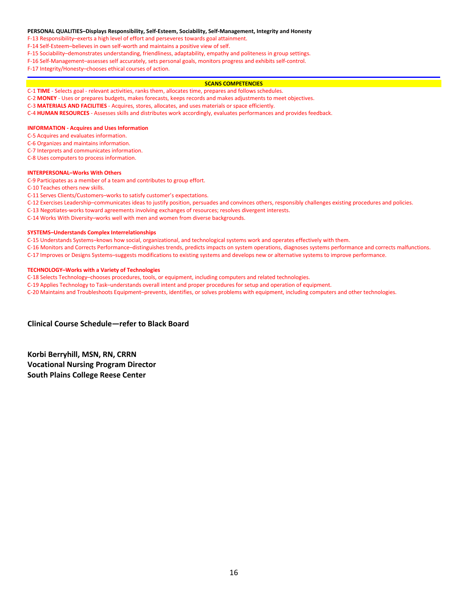#### **PERSONAL QUALITIES–Displays Responsibility, Self-Esteem, Sociability, Self-Management, Integrity and Honesty**

F-13 Responsibility–exerts a high level of effort and perseveres towards goal attainment.

F-14 Self-Esteem–believes in own self-worth and maintains a positive view of self.

F-15 Sociability–demonstrates understanding, friendliness, adaptability, empathy and politeness in group settings.

F-16 Self-Management–assesses self accurately, sets personal goals, monitors progress and exhibits self-control.

F-17 Integrity/Honesty–chooses ethical courses of action.

#### **SCANS COMPETENCIES**

C-1 **TIME** - Selects goal - relevant activities, ranks them, allocates time, prepares and follows schedules.

C-2 **MONEY** - Uses or prepares budgets, makes forecasts, keeps records and makes adjustments to meet objectives.

C-3 **MATERIALS AND FACILITIES** - Acquires, stores, allocates, and uses materials or space efficiently.

C-4 **HUMAN RESOURCES** - Assesses skills and distributes work accordingly, evaluates performances and provides feedback.

#### **INFORMATION - Acquires and Uses Information**

C-5 Acquires and evaluates information.

C-6 Organizes and maintains information.

C-7 Interprets and communicates information.

C-8 Uses computers to process information.

#### **INTERPERSONAL–Works With Others**

C-9 Participates as a member of a team and contributes to group effort.

C-10 Teaches others new skills.

C-11 Serves Clients/Customers–works to satisfy customer's expectations.

C-12 Exercises Leadership–communicates ideas to justify position, persuades and convinces others, responsibly challenges existing procedures and policies.

C-13 Negotiates-works toward agreements involving exchanges of resources; resolves divergent interests.

C-14 Works With Diversity–works well with men and women from diverse backgrounds.

#### **SYSTEMS–Understands Complex Interrelationships**

C-15 Understands Systems–knows how social, organizational, and technological systems work and operates effectively with them.

C-16 Monitors and Corrects Performance–distinguishes trends, predicts impacts on system operations, diagnoses systems performance and corrects malfunctions.

C-17 Improves or Designs Systems–suggests modifications to existing systems and develops new or alternative systems to improve performance.

#### **TECHNOLOGY–Works with a Variety of Technologies**

C-18 Selects Technology–chooses procedures, tools, or equipment, including computers and related technologies.

C-19 Applies Technology to Task–understands overall intent and proper procedures for setup and operation of equipment.

C-20 Maintains and Troubleshoots Equipment–prevents, identifies, or solves problems with equipment, including computers and other technologies.

**Clinical Course Schedule—refer to Black Board**

**Korbi Berryhill, MSN, RN, CRRN Vocational Nursing Program Director South Plains College Reese Center**